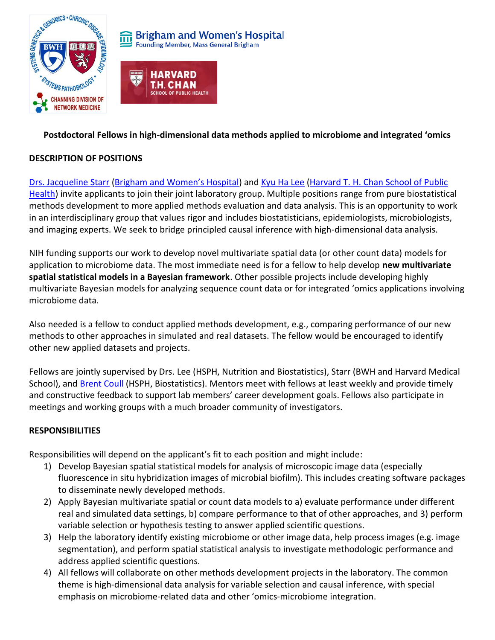



# **Postdoctoral Fellows in high-dimensional data methods applied to microbiome and integrated 'omics**

## **DESCRIPTION OF POSITIONS**

[Drs. Jacqueline Starr](https://www.linkedin.com/in/jacqueline-starr-82474034/) ([Brigham and Women's Hospital](https://www.brighamandwomens.org/research/departments/channing-division-of-network-medicine/overview)) and [Kyu Ha Lee](https://www.hsph.harvard.edu/kyu-ha-lee/) (Harvard T. H. Chan School of Public [Health\)](https://www.hsph.harvard.edu/) invite applicants to join their joint laboratory group. Multiple positions range from pure biostatistical methods development to more applied methods evaluation and data analysis. This is an opportunity to work in an interdisciplinary group that values rigor and includes biostatisticians, epidemiologists, microbiologists, and imaging experts. We seek to bridge principled causal inference with high-dimensional data analysis.

NIH funding supports our work to develop novel multivariate spatial data (or other count data) models for application to microbiome data. The most immediate need is for a fellow to help develop **new multivariate spatial statistical models in a Bayesian framework**. Other possible projects include developing highly multivariate Bayesian models for analyzing sequence count data or for integrated 'omics applications involving microbiome data.

Also needed is a fellow to conduct applied methods development, e.g., comparing performance of our new methods to other approaches in simulated and real datasets. The fellow would be encouraged to identify other new applied datasets and projects.

Fellows are jointly supervised by Drs. Lee (HSPH, Nutrition and Biostatistics), Starr (BWH and Harvard Medical School), an[d Brent Coull](https://www.hsph.harvard.edu/brent-coull/) (HSPH, Biostatistics). Mentors meet with fellows at least weekly and provide timely and constructive feedback to support lab members' career development goals. Fellows also participate in meetings and working groups with a much broader community of investigators.

## **RESPONSIBILITIES**

Responsibilities will depend on the applicant's fit to each position and might include:

- 1) Develop Bayesian spatial statistical models for analysis of microscopic image data (especially fluorescence in situ hybridization images of microbial biofilm). This includes creating software packages to disseminate newly developed methods.
- 2) Apply Bayesian multivariate spatial or count data models to a) evaluate performance under different real and simulated data settings, b) compare performance to that of other approaches, and 3) perform variable selection or hypothesis testing to answer applied scientific questions.
- 3) Help the laboratory identify existing microbiome or other image data, help process images (e.g. image segmentation), and perform spatial statistical analysis to investigate methodologic performance and address applied scientific questions.
- 4) All fellows will collaborate on other methods development projects in the laboratory. The common theme is high-dimensional data analysis for variable selection and causal inference, with special emphasis on microbiome-related data and other 'omics-microbiome integration.